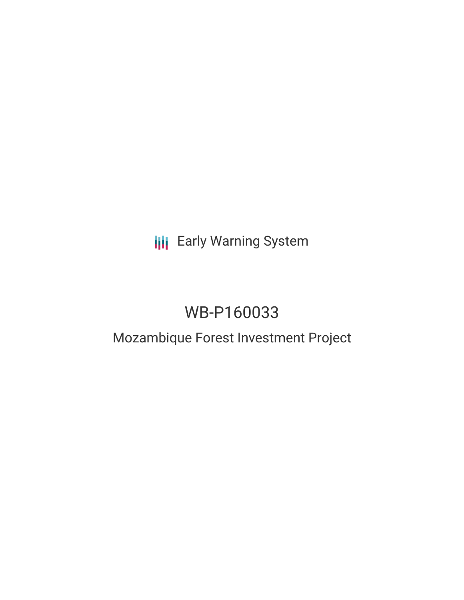**III** Early Warning System

# WB-P160033

## Mozambique Forest Investment Project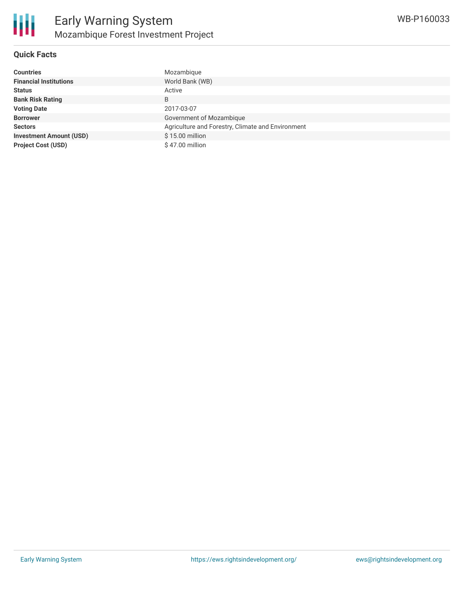

#### **Quick Facts**

| <b>Countries</b>               | Mozambique                                        |
|--------------------------------|---------------------------------------------------|
| <b>Financial Institutions</b>  | World Bank (WB)                                   |
| <b>Status</b>                  | Active                                            |
| <b>Bank Risk Rating</b>        | B                                                 |
| <b>Voting Date</b>             | 2017-03-07                                        |
| <b>Borrower</b>                | Government of Mozambique                          |
| <b>Sectors</b>                 | Agriculture and Forestry, Climate and Environment |
| <b>Investment Amount (USD)</b> | \$15.00 million                                   |
| <b>Project Cost (USD)</b>      | \$47.00 million                                   |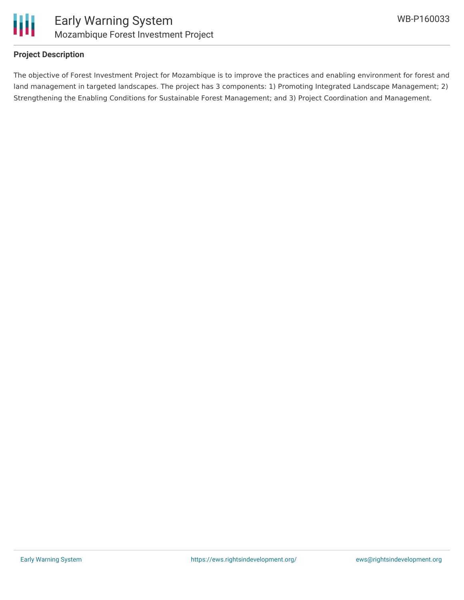



#### **Project Description**

The objective of Forest Investment Project for Mozambique is to improve the practices and enabling environment for forest and land management in targeted landscapes. The project has 3 components: 1) Promoting Integrated Landscape Management; 2) Strengthening the Enabling Conditions for Sustainable Forest Management; and 3) Project Coordination and Management.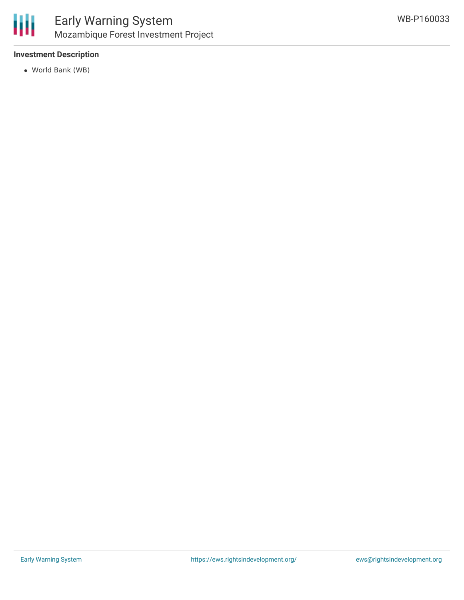

#### **Investment Description**

World Bank (WB)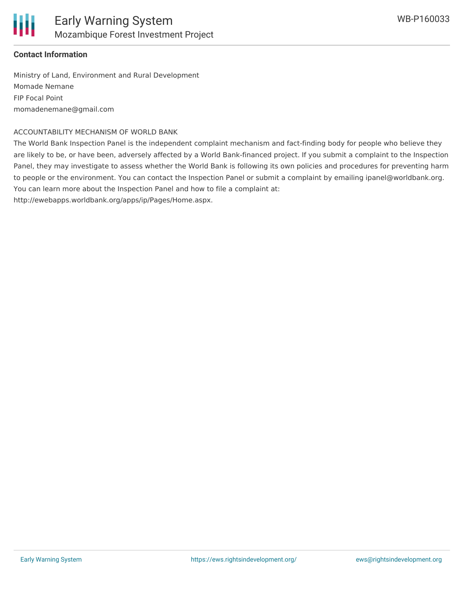

### **Contact Information**

Ministry of Land, Environment and Rural Development Momade Nemane FIP Focal Point momadenemane@gmail.com

#### ACCOUNTABILITY MECHANISM OF WORLD BANK

The World Bank Inspection Panel is the independent complaint mechanism and fact-finding body for people who believe they are likely to be, or have been, adversely affected by a World Bank-financed project. If you submit a complaint to the Inspection Panel, they may investigate to assess whether the World Bank is following its own policies and procedures for preventing harm to people or the environment. You can contact the Inspection Panel or submit a complaint by emailing ipanel@worldbank.org. You can learn more about the Inspection Panel and how to file a complaint at:

http://ewebapps.worldbank.org/apps/ip/Pages/Home.aspx.